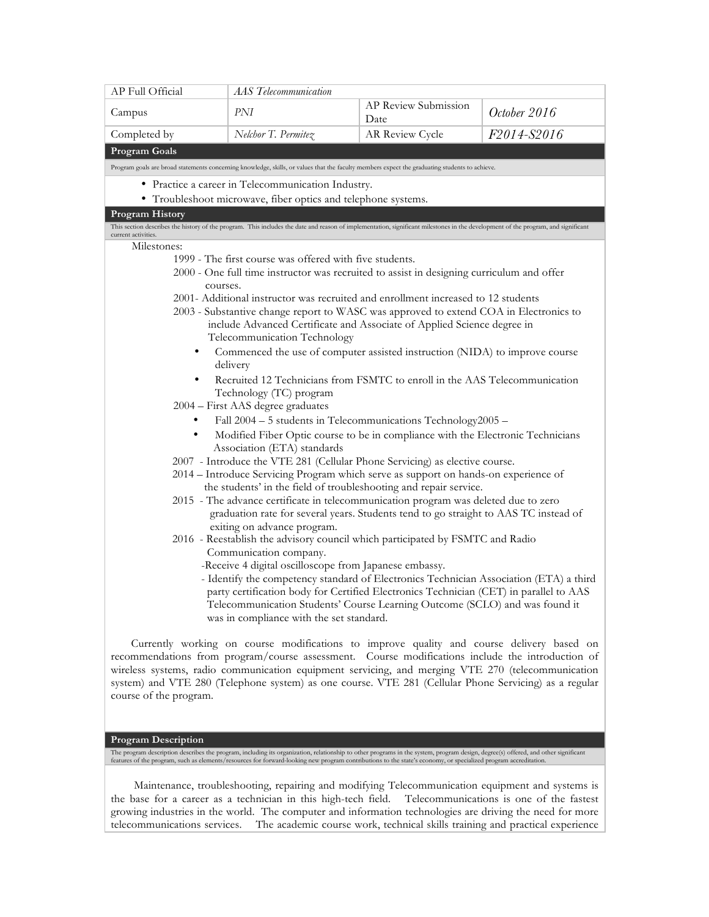| AP Full Official       | <b>AAS</b> Telecommunication                                                                                                                                                                               |                              |              |  |  |  |
|------------------------|------------------------------------------------------------------------------------------------------------------------------------------------------------------------------------------------------------|------------------------------|--------------|--|--|--|
| Campus                 | PNI                                                                                                                                                                                                        | AP Review Submission<br>Date | October 2016 |  |  |  |
| Completed by           | Nelchor T. Permitez                                                                                                                                                                                        | AR Review Cycle              | F2014-S2016  |  |  |  |
| Program Goals          |                                                                                                                                                                                                            |                              |              |  |  |  |
|                        | Program goals are broad statements concerning knowledge, skills, or values that the faculty members expect the graduating students to achieve.                                                             |                              |              |  |  |  |
|                        | • Practice a career in Telecommunication Industry.                                                                                                                                                         |                              |              |  |  |  |
|                        | • Troubleshoot microwave, fiber optics and telephone systems.                                                                                                                                              |                              |              |  |  |  |
| Program History        |                                                                                                                                                                                                            |                              |              |  |  |  |
| current activities.    | This section describes the history of the program. This includes the date and reason of implementation, significant milestones in the development of the program, and significant                          |                              |              |  |  |  |
| Milestones:            |                                                                                                                                                                                                            |                              |              |  |  |  |
|                        | 1999 - The first course was offered with five students.                                                                                                                                                    |                              |              |  |  |  |
| courses.               | 2000 - One full time instructor was recruited to assist in designing curriculum and offer                                                                                                                  |                              |              |  |  |  |
|                        | 2001- Additional instructor was recruited and enrollment increased to 12 students                                                                                                                          |                              |              |  |  |  |
|                        | 2003 - Substantive change report to WASC was approved to extend COA in Electronics to                                                                                                                      |                              |              |  |  |  |
|                        | include Advanced Certificate and Associate of Applied Science degree in                                                                                                                                    |                              |              |  |  |  |
|                        | Telecommunication Technology                                                                                                                                                                               |                              |              |  |  |  |
| ٠                      | Commenced the use of computer assisted instruction (NIDA) to improve course<br>delivery                                                                                                                    |                              |              |  |  |  |
| $\bullet$              | Recruited 12 Technicians from FSMTC to enroll in the AAS Telecommunication                                                                                                                                 |                              |              |  |  |  |
|                        | Technology (TC) program                                                                                                                                                                                    |                              |              |  |  |  |
| ٠                      | 2004 - First AAS degree graduates                                                                                                                                                                          |                              |              |  |  |  |
| ٠                      | Fall 2004 - 5 students in Telecommunications Technology2005 -<br>Modified Fiber Optic course to be in compliance with the Electronic Technicians                                                           |                              |              |  |  |  |
|                        | Association (ETA) standards                                                                                                                                                                                |                              |              |  |  |  |
|                        | 2007 - Introduce the VTE 281 (Cellular Phone Servicing) as elective course.                                                                                                                                |                              |              |  |  |  |
|                        | 2014 - Introduce Servicing Program which serve as support on hands-on experience of                                                                                                                        |                              |              |  |  |  |
|                        | the students' in the field of troubleshooting and repair service.                                                                                                                                          |                              |              |  |  |  |
|                        | 2015 - The advance certificate in telecommunication program was deleted due to zero<br>graduation rate for several years. Students tend to go straight to AAS TC instead of<br>exiting on advance program. |                              |              |  |  |  |
|                        | 2016 - Reestablish the advisory council which participated by FSMTC and Radio                                                                                                                              |                              |              |  |  |  |
|                        | Communication company.                                                                                                                                                                                     |                              |              |  |  |  |
|                        | -Receive 4 digital oscilloscope from Japanese embassy.                                                                                                                                                     |                              |              |  |  |  |
|                        | - Identify the competency standard of Electronics Technician Association (ETA) a third                                                                                                                     |                              |              |  |  |  |
|                        | party certification body for Certified Electronics Technician (CET) in parallel to AAS<br>Telecommunication Students' Course Learning Outcome (SCLO) and was found it                                      |                              |              |  |  |  |
|                        | was in compliance with the set standard.                                                                                                                                                                   |                              |              |  |  |  |
|                        |                                                                                                                                                                                                            |                              |              |  |  |  |
|                        | Currently working on course modifications to improve quality and course delivery based on<br>recommendations from program/course assessment. Course modifications include the introduction of              |                              |              |  |  |  |
|                        | wireless systems, radio communication equipment servicing, and merging VTE 270 (telecommunication                                                                                                          |                              |              |  |  |  |
|                        | system) and VTE 280 (Telephone system) as one course. VTE 281 (Cellular Phone Servicing) as a regular                                                                                                      |                              |              |  |  |  |
| course of the program. |                                                                                                                                                                                                            |                              |              |  |  |  |

### **Program Description**

The program description describes the program, including its organization, relationship to other programs in the system, program design, degree(s) offered, and other significant features of the program, such as elements/re

 Maintenance, troubleshooting, repairing and modifying Telecommunication equipment and systems is the base for a career as a technician in this high-tech field. Telecommunications is one of the fastest growing industries in the world. The computer and information technologies are driving the need for more telecommunications services. The academic course work, technical skills training and practical experience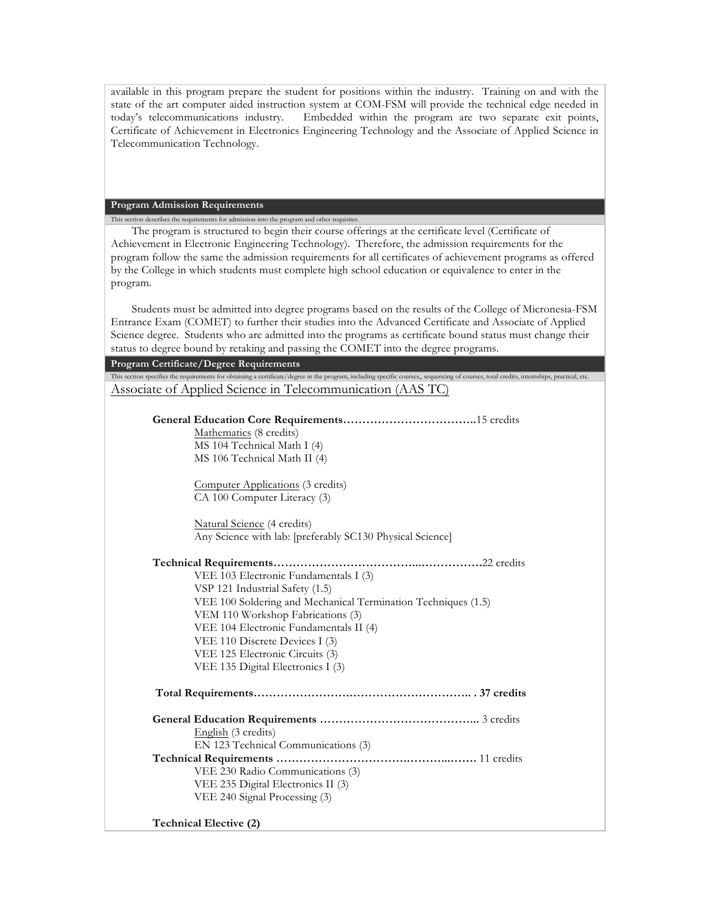available in this program prepare the student for positions within the industry. Training on and with the state of the art computer aided instruction system at COM-FSM will provide the technical edge needed in today's telecommunications industry. Embedded within the program are two separate exit points, Certificate of Achievement in Electronics Engineering Technology and the Associate of Applied Science in Telecommunication Technology.

## **Program Admission Requirements**

This section describes the requirements for admission into the program and other requisites. The program is structured to begin their course offerings at the certificate level (Certificate of Achievement in Electronic Engineering Technology). Therefore, the admission requirements for the program follow the same the admission requirements for all certificates of achievement programs as offered by the College in which students must complete high school education or equivalence to enter in the program.

Students must be admitted into degree programs based on the results of the College of Micronesia-FSM Entrance Exam (COMET) to further their studies into the Advanced Certificate and Associate of Applied Science degree. Students who are admitted into the programs as certificate bound status must change their status to degree bound by retaking and passing the COMET into the degree programs.

| a med ene programo as ceremeate sound sattas mast char                                                                                                                                    |
|-------------------------------------------------------------------------------------------------------------------------------------------------------------------------------------------|
| status to degree bound by retaking and passing the COMET into the degree programs.                                                                                                        |
| Program Certificate/Degree Requirements                                                                                                                                                   |
| This section specifies the requirements for obtaining a certificate/degree in the program, including specific courses, sequencing of courses, total credits, internships, practical, etc. |
| Associate of Applied Science in Telecommunication (AAS TC)                                                                                                                                |
|                                                                                                                                                                                           |
|                                                                                                                                                                                           |
| Mathematics (8 credits)                                                                                                                                                                   |
| MS 104 Technical Math I (4)                                                                                                                                                               |
| MS 106 Technical Math II (4)                                                                                                                                                              |
|                                                                                                                                                                                           |
| Computer Applications (3 credits)                                                                                                                                                         |
| CA 100 Computer Literacy (3)                                                                                                                                                              |
| Natural Science (4 credits)                                                                                                                                                               |
| Any Science with lab: [preferably SC130 Physical Science]                                                                                                                                 |
|                                                                                                                                                                                           |
|                                                                                                                                                                                           |
| VEE 103 Electronic Fundamentals I (3)                                                                                                                                                     |
| VSP 121 Industrial Safety (1.5)                                                                                                                                                           |
| VEE 100 Soldering and Mechanical Termination Techniques (1.5)                                                                                                                             |
| VEM 110 Workshop Fabrications (3)                                                                                                                                                         |
| VEE 104 Electronic Fundamentals II (4)                                                                                                                                                    |
| VEE 110 Discrete Devices I (3)                                                                                                                                                            |
| VEE 125 Electronic Circuits (3)                                                                                                                                                           |
| VEE 135 Digital Electronics I (3)                                                                                                                                                         |
|                                                                                                                                                                                           |
|                                                                                                                                                                                           |
| English (3 credits)                                                                                                                                                                       |
| EN 123 Technical Communications (3)                                                                                                                                                       |
|                                                                                                                                                                                           |
| VEE 230 Radio Communications (3)                                                                                                                                                          |
| VEE 235 Digital Electronics II (3)                                                                                                                                                        |
| VEE 240 Signal Processing (3)                                                                                                                                                             |
|                                                                                                                                                                                           |
| <b>Technical Elective (2)</b>                                                                                                                                                             |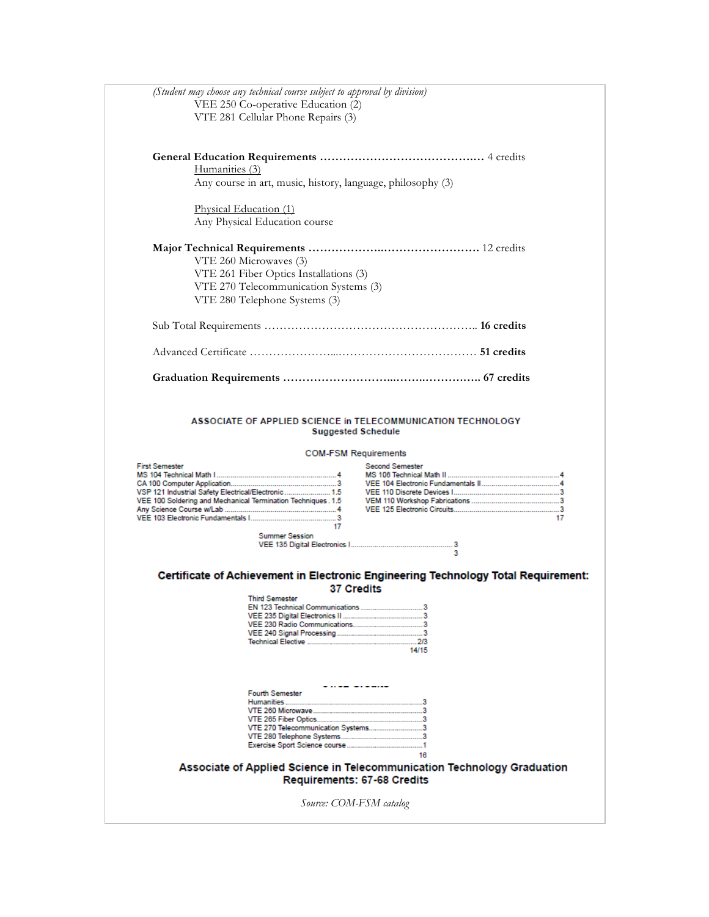|                                                                                                                                               | (Student may choose any technical course subject to approval by division)<br>VEE 250 Co-operative Education (2)<br>VTE 281 Cellular Phone Repairs (3) |                                                                                             |    |
|-----------------------------------------------------------------------------------------------------------------------------------------------|-------------------------------------------------------------------------------------------------------------------------------------------------------|---------------------------------------------------------------------------------------------|----|
|                                                                                                                                               |                                                                                                                                                       |                                                                                             |    |
| Humanities (3)                                                                                                                                |                                                                                                                                                       |                                                                                             |    |
|                                                                                                                                               | Any course in art, music, history, language, philosophy (3)                                                                                           |                                                                                             |    |
| Physical Education (1)                                                                                                                        | Any Physical Education course                                                                                                                         |                                                                                             |    |
|                                                                                                                                               | VTE 260 Microwaves (3)<br>VTE 261 Fiber Optics Installations (3)<br>VTE 270 Telecommunication Systems (3)<br>VTE 280 Telephone Systems (3)            |                                                                                             |    |
|                                                                                                                                               |                                                                                                                                                       |                                                                                             |    |
|                                                                                                                                               |                                                                                                                                                       |                                                                                             |    |
|                                                                                                                                               |                                                                                                                                                       |                                                                                             |    |
| <b>First Semester</b><br>VSP 121 Industrial Safety Electrical/Electronic 1.5<br>VEE 100 Soldering and Mechanical Termination Techniques . 1.5 | 17                                                                                                                                                    | <b>Second Semester</b>                                                                      | 17 |
|                                                                                                                                               | <b>Summer Session</b>                                                                                                                                 | 3                                                                                           |    |
|                                                                                                                                               | <b>37 Credits</b><br><b>Third Semester</b>                                                                                                            | Certificate of Achievement in Electronic Engineering Technology Total Requirement:<br>14/15 |    |
|                                                                                                                                               | <b>Fourth Semester</b><br>VTE 270 Telecommunication Systems3                                                                                          | 16<br>Associate of Applied Science in Telecommunication Technology Graduation               |    |
|                                                                                                                                               |                                                                                                                                                       |                                                                                             |    |
|                                                                                                                                               | Requirements: 67-68 Credits                                                                                                                           |                                                                                             |    |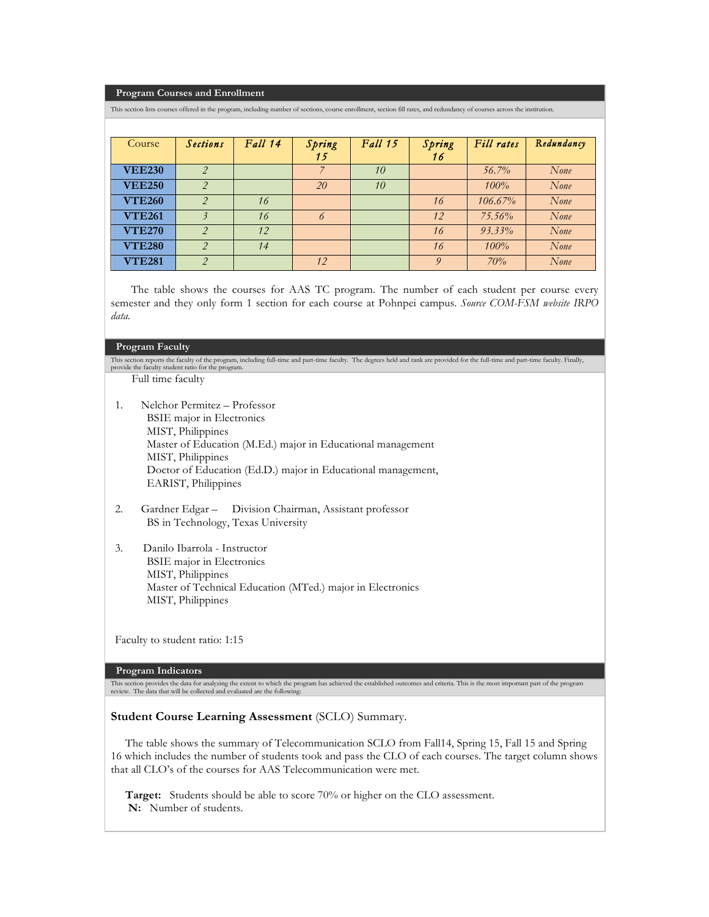#### **Program Courses and Enrollment**

This section lists courses offered in the program, including number of sections, course enrollment, section fill rates, and redundancy of courses across the institution.

| Course        | <b>Sections</b>          | Fall 14 | Spring<br>15 | <b>Fall 15</b> | Spring<br>16 | Fill rates | Redundancy |
|---------------|--------------------------|---------|--------------|----------------|--------------|------------|------------|
| <b>VEE230</b> | $\overline{\phantom{a}}$ |         |              | 10             |              | $56.7\%$   | None       |
| <b>VEE250</b> | $\overline{2}$           |         | 20           | 10             |              | 100%       | None       |
| <b>VTE260</b> | 2                        | 16      |              |                | 16           | $106.67\%$ | None       |
| <b>VTE261</b> |                          | 16      | 6            |                | 12           | 75.56%     | None       |
| <b>VTE270</b> | $\overline{2}$           | 12      |              |                | 16           | $93.33\%$  | None       |
| <b>VTE280</b> | $\overline{2}$           | 14      |              |                | 16           | 100%       | None       |
| <b>VTE281</b> | $\mathcal{P}$            |         | 12           |                | 9            | 70%        | None       |

 The table shows the courses for AAS TC program. The number of each student per course every semester and they only form 1 section for each course at Pohnpei campus. *Source COM-FSM website IRPO data.*

#### **Program Faculty**

This section reports the faculty of the program, including full-time and part-time faculty. The degrees held and rank are provided for the full-time and part-time faculty. Finally, provide the faculty student ratio for the program. Full time faculty

- 1. Nelchor Permitez Professor BSIE major in Electronics MIST, Philippines Master of Education (M.Ed.) major in Educational management MIST, Philippines Doctor of Education (Ed.D.) major in Educational management, EARIST, Philippines
- 2. Gardner Edgar Division Chairman, Assistant professor BS in Technology, Texas University
- 3. Danilo Ibarrola Instructor BSIE major in Electronics MIST, Philippines Master of Technical Education (MTed.) major in Electronics MIST, Philippines

Faculty to student ratio: 1:15

### **Program Indicators**

This section provides the data for analyzing the extent to which the program has achieved the established outcomes and criteria. This is the most important part of the program review. The data that will be collected and evaluated are the following:

#### **Student Course Learning Assessment** (SCLO) Summary.

 The table shows the summary of Telecommunication SCLO from Fall14, Spring 15, Fall 15 and Spring 16 which includes the number of students took and pass the CLO of each courses. The target column shows that all CLO's of the courses for AAS Telecommunication were met.

 **Target:** Students should be able to score 70% or higher on the CLO assessment.  **N:** Number of students.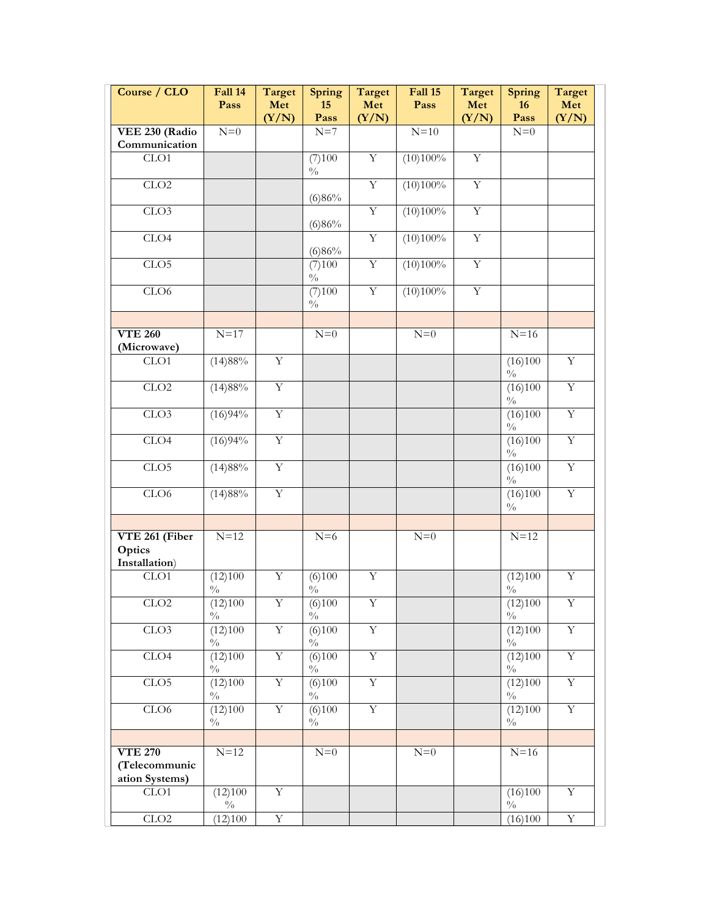| Course / CLO                                      | Fall 14<br>Pass            | Target<br>Met<br>(Y/N)  | Spring<br>15<br>Pass             | <b>Target</b><br>Met<br>(Y/N) | Fall 15<br>Pass | <b>Target</b><br>Met<br>(Y/N) | Spring<br>16<br>Pass       | Target<br>Met<br>(Y/N)  |
|---------------------------------------------------|----------------------------|-------------------------|----------------------------------|-------------------------------|-----------------|-------------------------------|----------------------------|-------------------------|
| VEE 230 (Radio                                    | $N=0$                      |                         | $N=7$                            |                               | $N=10$          |                               | $N=0$                      |                         |
| Communication                                     |                            |                         |                                  |                               |                 |                               |                            |                         |
| CLO1                                              |                            |                         | (7)100<br>$\sqrt[0]{_{0}}$       | $\overline{Y}$                | (10)100%        | $\overline{Y}$                |                            |                         |
| CLO2                                              |                            |                         | (6)86%                           | $\overline{Y}$                | (10)100%        | Y                             |                            |                         |
| CLO3                                              |                            |                         | (6)86%                           | $\overline{Y}$                | (10)100%        | $\overline{\mathbf{Y}}$       |                            |                         |
| CLO4                                              |                            |                         | (6)86%                           | $\overline{Y}$                | (10)100%        | $\mathbf Y$                   |                            |                         |
| CLO5                                              |                            |                         | (7)100<br>$\frac{0}{0}$          | $\rm Y$                       | (10)100%        | $\rm Y$                       |                            |                         |
| CLO6                                              |                            |                         | (7)100<br>$\frac{0}{0}$          | $\overline{Y}$                | (10)100%        | $\overline{Y}$                |                            |                         |
|                                                   |                            |                         |                                  |                               |                 |                               |                            |                         |
| <b>VTE 260</b><br>(Microwave)                     | $N=17$                     |                         | $N=0$                            |                               | $N=0$           |                               | $N=16$                     |                         |
| CLO1                                              | (14)88%                    | $\overline{Y}$          |                                  |                               |                 |                               | (16)100<br>$\frac{0}{0}$   | $\overline{Y}$          |
| CLO2                                              | (14)88%                    | $\overline{Y}$          |                                  |                               |                 |                               | (16)100<br>$\frac{0}{0}$   | $\overline{Y}$          |
| CLO3                                              | (16)94%                    | $\overline{Y}$          |                                  |                               |                 |                               | (16)100<br>$\sqrt[0]{\!0}$ | $\overline{Y}$          |
| CLO4                                              | (16)94%                    | $\overline{\mathbf{Y}}$ |                                  |                               |                 |                               | (16)100<br>$\sqrt[0]{\!0}$ | $\overline{Y}$          |
| CLO5                                              | (14)88%                    | $\overline{\mathbf{Y}}$ |                                  |                               |                 |                               | (16)100<br>$\frac{0}{0}$   | $\overline{Y}$          |
| CLO6                                              | (14)88%                    | $\rm Y$                 |                                  |                               |                 |                               | (16)100<br>$\frac{0}{0}$   | $\overline{Y}$          |
|                                                   |                            |                         |                                  |                               |                 |                               |                            |                         |
| VTE 261 (Fiber<br>Optics<br>Installation)         | $N=12$                     |                         | $N=6$                            |                               | $N=0$           |                               | $N=12$                     |                         |
| CLO1                                              | (12)100<br>$\sqrt[0]{\!0}$ | $\overline{Y}$          | (6)100<br>$\frac{0}{0}$          | $\overline{Y}$                |                 |                               | (12)100<br>$\sqrt[0]{\!0}$ | $\overline{Y}$          |
| ${\rm CLO2}$                                      | (12)100<br>$\frac{0}{0}$   | $\overline{\mathbf{Y}}$ | (6)100<br>$\frac{0}{0}$          | $\overline{Y}$                |                 |                               | (12)100<br>$\sqrt[0]{0}$   | $\overline{\mathbf{Y}}$ |
| CLO <sub>3</sub>                                  | (12)100<br>$\sqrt[0]{\!0}$ | $\overline{Y}$          | $\sqrt{(6)100}$<br>$\frac{0}{0}$ | $\overline{Y}$                |                 |                               | (12)100<br>$\sqrt[0]{\!0}$ | $\overline{Y}$          |
| CLO4                                              | (12)100<br>$\frac{0}{0}$   | $\overline{Y}$          | (6)100<br>$\sqrt[0]{\!0}$        | $\overline{Y}$                |                 |                               | (12)100<br>$\frac{0}{0}$   | $\overline{Y}$          |
| CLO5                                              | (12)100<br>$\sqrt[0]{\!0}$ | $\mathbf Y$             | (6)100<br>$\sqrt[0]{\!0}$        | $\mathbf Y$                   |                 |                               | (12)100<br>$\sqrt[0]{\!0}$ | $\overline{\mathbf{Y}}$ |
| CLO6                                              | (12)100<br>$\sqrt[0]{\!0}$ | $\mathbf Y$             | (6)100<br>$\frac{0}{0}$          | $\overline{Y}$                |                 |                               | (12)100<br>$\frac{0}{0}$   | $\overline{Y}$          |
|                                                   |                            |                         |                                  |                               |                 |                               |                            |                         |
| <b>VTE 270</b><br>(Telecommunic<br>ation Systems) | $N=12$                     |                         | ${\cal N}{=}0$                   |                               | $N=0$           |                               | $N=16$                     |                         |
| CLO1                                              | (12)100<br>$\frac{0}{0}$   | Y                       |                                  |                               |                 |                               | (16)100<br>$\frac{0}{0}$   | Y                       |
| CLO2                                              | (12)100                    | $\overline{\mathbf{Y}}$ |                                  |                               |                 |                               | (16)100                    | $\overline{Y}$          |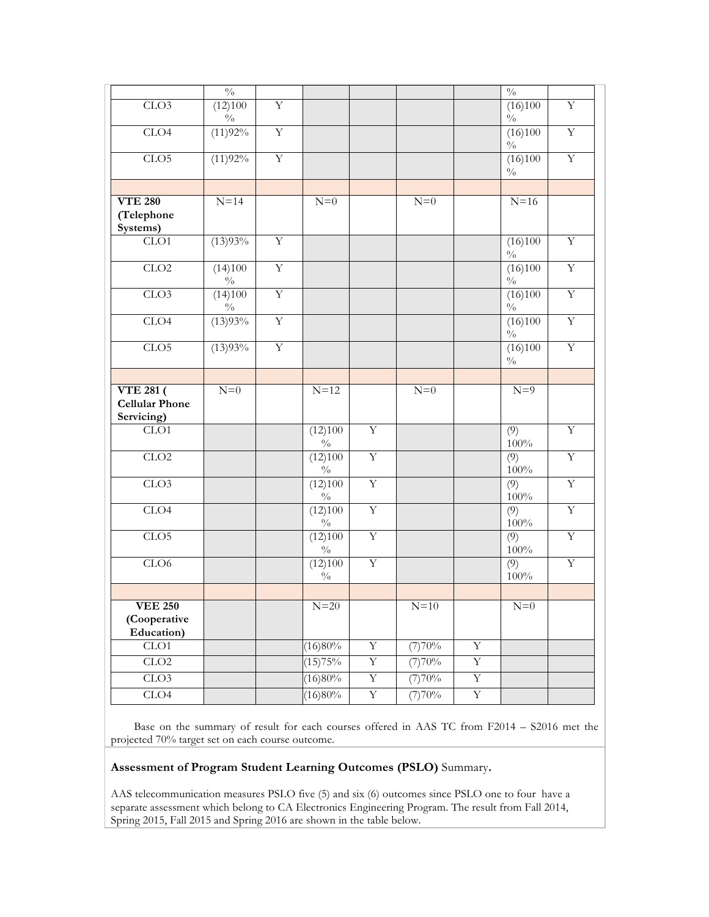|                                                         | $\sqrt[0]{\!0}$             |                         |                             |                |        |                         | $\sqrt[0]{0}$               |                         |
|---------------------------------------------------------|-----------------------------|-------------------------|-----------------------------|----------------|--------|-------------------------|-----------------------------|-------------------------|
| CLO3                                                    | (12)100<br>$\frac{0}{0}$    | $\overline{Y}$          |                             |                |        |                         | (16)100<br>$\sqrt[0]{\!0}$  | $\mathbf Y$             |
| CLO4                                                    | (11)92%                     | $\mathbf Y$             |                             |                |        |                         | (16)100<br>$\sqrt[0]{\!0}$  | $\mathbf Y$             |
| CLO5                                                    | (11)92%                     | $\overline{\textbf{Y}}$ |                             |                |        |                         | (16)100<br>$\sqrt[0]{\!0}$  | $\overline{Y}$          |
|                                                         |                             |                         |                             |                |        |                         |                             |                         |
| <b>VTE 280</b><br>(Telephone<br>Systems)                | $N=14$                      |                         | $N=0$                       |                | $N=0$  |                         | $N=16$                      |                         |
| CLO1                                                    | (13)93%                     | $\overline{Y}$          |                             |                |        |                         | (16)100<br>$\sqrt[0]{0}$    | $\overline{Y}$          |
| CLO2                                                    | (14)100<br>$\frac{0}{0}$    | $\overline{Y}$          |                             |                |        |                         | (16)100<br>$\frac{0}{0}$    | $\overline{\textbf{Y}}$ |
| CLO3                                                    | (14)100<br>$\sqrt[0]{\!}_0$ | $\overline{Y}$          |                             |                |        |                         | (16)100<br>$\sqrt[0]{\!0}$  | $\overline{Y}$          |
| CLO4                                                    | (13)93%                     | $\overline{Y}$          |                             |                |        |                         | (16)100<br>$\frac{0}{0}$    | $\overline{\textbf{Y}}$ |
| CLO <sub>5</sub>                                        | (13)93%                     | $\mathbf Y$             |                             |                |        |                         | (16)100<br>$\sqrt[0]{\!0}$  | $\mathbf Y$             |
|                                                         |                             |                         |                             |                |        |                         |                             |                         |
| <b>VTE 281 (</b><br><b>Cellular Phone</b><br>Servicing) | $N=0$                       |                         | $N=12$                      |                | $N=0$  |                         | $N=9$                       |                         |
| CLO1                                                    |                             |                         | (12)100<br>$\frac{0}{0}$    | $\mathbf Y$    |        |                         | (9)<br>$100\%$              | Y                       |
| CLO2                                                    |                             |                         | (12)100<br>$\sqrt[0]{_{0}}$ | $\mathbf Y$    |        |                         | (9)<br>$100\%$              | $\overline{Y}$          |
| CLO3                                                    |                             |                         | (12)100<br>$\frac{0}{0}$    | $\overline{Y}$ |        |                         | $\overline{(9)}$<br>$100\%$ | $\overline{\textbf{Y}}$ |
| CLO4                                                    |                             |                         | (12)100<br>$\frac{0}{0}$    | $\overline{Y}$ |        |                         | (9)<br>$100\%$              | $\overline{Y}$          |
| CLO5                                                    |                             |                         | (12)100<br>$\frac{0}{0}$    | $\overline{Y}$ |        |                         | $\overline{(9)}$<br>$100\%$ | $\overline{\textbf{Y}}$ |
| CLO6                                                    |                             |                         | (12)100<br>$\frac{0}{0}$    | $\overline{Y}$ |        |                         | $\overline{(9)}$<br>$100\%$ | $\overline{Y}$          |
|                                                         |                             |                         |                             |                |        |                         |                             |                         |
| <b>VEE 250</b><br>(Cooperative<br>Education)            |                             |                         | $N=20$                      |                | $N=10$ |                         | ${\cal N}{=}0$              |                         |
| CLO1                                                    |                             |                         | (16)80%                     | $\mathbf Y$    | (7)70% | $\overline{\mathbf{Y}}$ |                             |                         |
| CLO2                                                    |                             |                         | (15)75%                     | $\overline{Y}$ | (7)70% | $\overline{Y}$          |                             |                         |
| CLO3                                                    |                             |                         | (16)80%                     | $\overline{Y}$ | (7)70% | $\overline{Y}$          |                             |                         |
| CLO4                                                    |                             |                         | (16)80%                     | $\mathbf Y$    | (7)70% | $\overline{\textbf{Y}}$ |                             |                         |

 Base on the summary of result for each courses offered in AAS TC from F2014 – S2016 met the projected 70% target set on each course outcome.

# **Assessment of Program Student Learning Outcomes (PSLO)** Summary**.**

AAS telecommunication measures PSLO five (5) and six (6) outcomes since PSLO one to four have a separate assessment which belong to CA Electronics Engineering Program. The result from Fall 2014, Spring 2015, Fall 2015 and Spring 2016 are shown in the table below.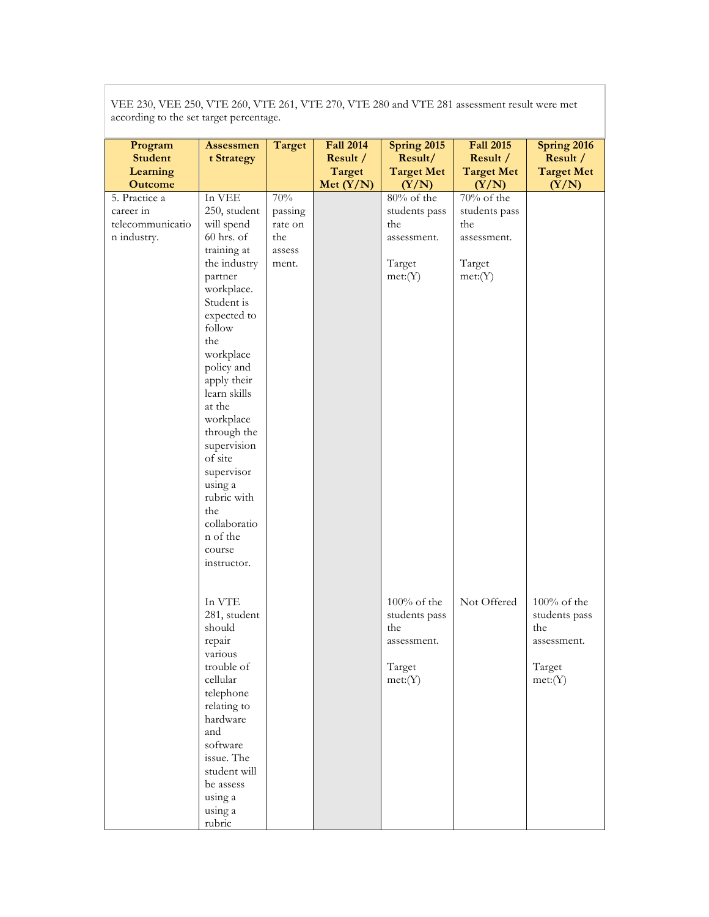according to the set target percentage. **Program Student Learning Outcome Assessmen t Strategy Target Fall 2014 Result / Target Met (Y/N) Spring 2015 Result/ Target Met**   $(Y/N)$ **Fall 2015 Result / Target Met (Y/N) Spring 2016 Result / Target Met (Y/N)** 5. Practice a career in telecommunicatio n industry. In VEE 250, student will spend 60 hrs. of training at the industry partner workplace. Student is expected to follow the workplace policy and apply their learn skills at the workplace through the supervision of site supervisor using a rubric with the collaboratio n of the course instructor. In VTE 281, student should repair various trouble of cellular telephone relating to hardware and software issue. The student will be assess using a using a rubric 70% passing rate on the assess ment. 80% of the students pass the assessment. Target met:(Y) 100% of the students pass the assessment. Target met:(Y) 70% of the students pass the assessment. Target met:(Y) Not Offered | 100% of the students pass the assessment. Target met:(Y)

VEE 230, VEE 250, VTE 260, VTE 261, VTE 270, VTE 280 and VTE 281 assessment result were met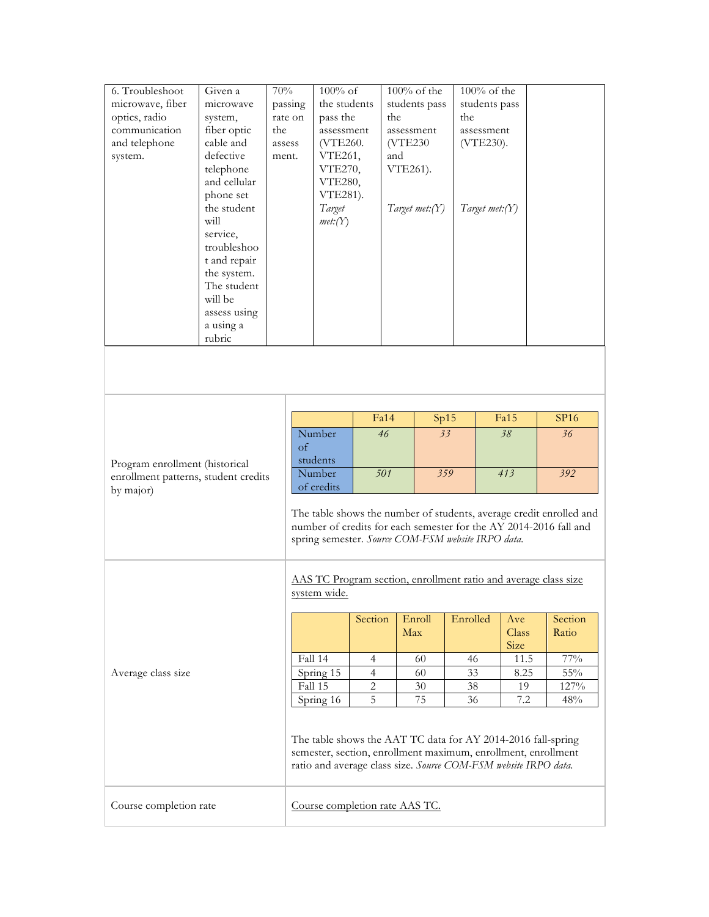| 6. Troubleshoot<br>microwave, fiber<br>optics, radio<br>communication<br>and telephone<br>system. | Given a<br>microwave<br>system,<br>fiber optic<br>cable and<br>defective<br>telephone<br>and cellular<br>phone set<br>the student<br>will<br>service,<br>troubleshoo<br>t and repair<br>the system.<br>The student<br>will be<br>assess using<br>a using a<br>rubric | $70\%$<br>passing<br>rate on<br>the<br>assess<br>ment. | $100\%$ of<br>the students<br>pass the<br>assessment<br>(VTE260.<br>VTE261,<br>VTE270,<br><b>VTE280,</b><br>VTE281).<br>Target<br>met:(Y)                                                        |                                  | the<br>assessment<br>(VTE230)<br>and<br>VTE261). | $100\%$ of the<br>students pass<br>Target met:(Y) | the      | $100\%$ of the<br>students pass<br>assessment<br>(VTE230).<br>Target met: $(Y)$ |                      |  |                                                                     |
|---------------------------------------------------------------------------------------------------|----------------------------------------------------------------------------------------------------------------------------------------------------------------------------------------------------------------------------------------------------------------------|--------------------------------------------------------|--------------------------------------------------------------------------------------------------------------------------------------------------------------------------------------------------|----------------------------------|--------------------------------------------------|---------------------------------------------------|----------|---------------------------------------------------------------------------------|----------------------|--|---------------------------------------------------------------------|
|                                                                                                   |                                                                                                                                                                                                                                                                      |                                                        |                                                                                                                                                                                                  |                                  |                                                  |                                                   |          |                                                                                 |                      |  |                                                                     |
|                                                                                                   |                                                                                                                                                                                                                                                                      |                                                        |                                                                                                                                                                                                  |                                  | Fa14                                             |                                                   |          |                                                                                 | Fa15                 |  |                                                                     |
|                                                                                                   |                                                                                                                                                                                                                                                                      |                                                        | Number<br>of<br>students                                                                                                                                                                         |                                  | Sp15<br>$\overline{33}$<br>46                    |                                                   |          |                                                                                 | 38                   |  | SP16<br>36 <sub>2</sub>                                             |
| Program enrollment (historical                                                                    |                                                                                                                                                                                                                                                                      |                                                        |                                                                                                                                                                                                  |                                  |                                                  |                                                   |          |                                                                                 |                      |  |                                                                     |
| enrollment patterns, student credits<br>by major)                                                 |                                                                                                                                                                                                                                                                      |                                                        | Number<br>of credits                                                                                                                                                                             |                                  | 501                                              | 359                                               |          |                                                                                 | 413                  |  | 392                                                                 |
|                                                                                                   |                                                                                                                                                                                                                                                                      |                                                        | number of credits for each semester for the AY 2014-2016 fall and<br>spring semester. Source COM-FSM website IRPO data.                                                                          |                                  |                                                  |                                                   |          |                                                                                 |                      |  | The table shows the number of students, average credit enrolled and |
|                                                                                                   |                                                                                                                                                                                                                                                                      |                                                        | AAS TC Program section, enrollment ratio and average class size<br>system wide.                                                                                                                  |                                  |                                                  |                                                   |          |                                                                                 |                      |  |                                                                     |
|                                                                                                   |                                                                                                                                                                                                                                                                      |                                                        |                                                                                                                                                                                                  | Section                          |                                                  | Enroll<br>Max                                     | Enrolled |                                                                                 | Ave<br>Class<br>Size |  | Section<br>Ratio                                                    |
|                                                                                                   |                                                                                                                                                                                                                                                                      |                                                        | Fall 14                                                                                                                                                                                          | $\overline{4}$                   |                                                  | 60                                                | 46       |                                                                                 | 11.5                 |  | 77%                                                                 |
| Average class size                                                                                |                                                                                                                                                                                                                                                                      |                                                        | Spring 15<br>Fall 15                                                                                                                                                                             | $\overline{4}$<br>$\overline{2}$ |                                                  | 60<br>30                                          | 33<br>38 |                                                                                 | 8.25<br>19           |  | 55%<br>127%                                                         |
|                                                                                                   |                                                                                                                                                                                                                                                                      |                                                        | Spring 16                                                                                                                                                                                        | 5                                |                                                  | 75                                                | 36       |                                                                                 | 7.2                  |  | 48%                                                                 |
|                                                                                                   |                                                                                                                                                                                                                                                                      |                                                        | The table shows the AAT TC data for AY 2014-2016 fall-spring<br>semester, section, enrollment maximum, enrollment, enrollment<br>ratio and average class size. Source COM-FSM website IRPO data. |                                  |                                                  |                                                   |          |                                                                                 |                      |  |                                                                     |
| Course completion rate                                                                            |                                                                                                                                                                                                                                                                      |                                                        | Course completion rate AAS TC.                                                                                                                                                                   |                                  |                                                  |                                                   |          |                                                                                 |                      |  |                                                                     |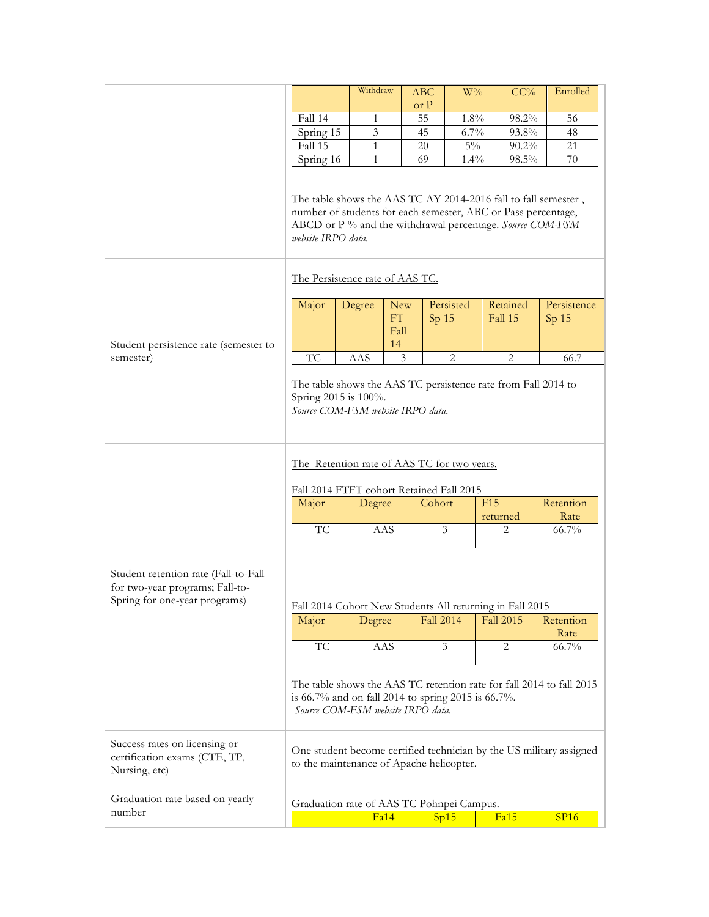|                                                                                                                                                                           |                                                                                                                                                                                                                                                                                    | Withdraw      |                                | ABC    | $W\%$                         | CC%                                |  | Enrolled                        |  |
|---------------------------------------------------------------------------------------------------------------------------------------------------------------------------|------------------------------------------------------------------------------------------------------------------------------------------------------------------------------------------------------------------------------------------------------------------------------------|---------------|--------------------------------|--------|-------------------------------|------------------------------------|--|---------------------------------|--|
|                                                                                                                                                                           |                                                                                                                                                                                                                                                                                    |               |                                | or P   |                               |                                    |  |                                 |  |
|                                                                                                                                                                           | Fall 14                                                                                                                                                                                                                                                                            | 1             |                                | 55     | 1.8%                          | 98.2%                              |  | 56                              |  |
|                                                                                                                                                                           | Spring 15                                                                                                                                                                                                                                                                          | 3             |                                | 45     | 6.7%                          | 93.8%                              |  | 48                              |  |
|                                                                                                                                                                           | Fall 15                                                                                                                                                                                                                                                                            | 1             |                                | 20     | $5\%$                         | $90.2\%$                           |  | 21                              |  |
|                                                                                                                                                                           | Spring 16                                                                                                                                                                                                                                                                          | 1             |                                | 69     | $1.4\%$                       | $98.5\%$                           |  | 70                              |  |
|                                                                                                                                                                           | The table shows the AAS TC AY 2014-2016 fall to fall semester,<br>number of students for each semester, ABC or Pass percentage,<br>ABCD or P % and the withdrawal percentage. Source COM-FSM<br>website IRPO data.                                                                 |               |                                |        |                               |                                    |  |                                 |  |
|                                                                                                                                                                           | The Persistence rate of AAS TC.                                                                                                                                                                                                                                                    |               |                                |        |                               |                                    |  |                                 |  |
|                                                                                                                                                                           | Major                                                                                                                                                                                                                                                                              | Degree        | <b>New</b><br>FT<br>Fall<br>14 |        | Persisted<br>Sp <sub>15</sub> | Retained<br>Fall 15                |  | Persistence<br>Sp <sub>15</sub> |  |
| Student persistence rate (semester to<br>semester)                                                                                                                        | <b>TC</b>                                                                                                                                                                                                                                                                          | AAS           | $\mathfrak{Z}$                 |        | $\overline{2}$                | $\mathbf{2}$                       |  | 66.7                            |  |
| The table shows the AAS TC persistence rate from Fall 2014 to<br>Spring 2015 is 100%.<br>Source COM-FSM website IRPO data.<br>The Retention rate of AAS TC for two years. |                                                                                                                                                                                                                                                                                    |               |                                |        |                               |                                    |  |                                 |  |
|                                                                                                                                                                           | Fall 2014 FTFT cohort Retained Fall 2015                                                                                                                                                                                                                                           |               |                                |        |                               |                                    |  |                                 |  |
|                                                                                                                                                                           | Major                                                                                                                                                                                                                                                                              | Degree        |                                | Cohort |                               | F15<br>returned                    |  | Retention<br>Rate               |  |
|                                                                                                                                                                           | TC                                                                                                                                                                                                                                                                                 | AAS           |                                |        | $\overline{\mathbf{3}}$       | 2                                  |  | 66.7%                           |  |
| Student retention rate (Fall-to-Fall<br>for two-year programs; Fall-to-<br>Spring for one-year programs)                                                                  | Fall 2014 Cohort New Students All returning in Fall 2015<br>Major<br>TC                                                                                                                                                                                                            | Degree<br>AAS |                                |        | <b>Fall 2014</b><br>3         | <b>Fall 2015</b><br>$\overline{2}$ |  | Retention<br>Rate<br>66.7%      |  |
| Success rates on licensing or<br>certification exams (CTE, TP,<br>Nursing, etc)                                                                                           | The table shows the AAS TC retention rate for fall 2014 to fall 2015<br>is 66.7% and on fall 2014 to spring 2015 is 66.7%.<br>Source COM-FSM website IRPO data.<br>One student become certified technician by the US military assigned<br>to the maintenance of Apache helicopter. |               |                                |        |                               |                                    |  |                                 |  |
| Graduation rate based on yearly                                                                                                                                           |                                                                                                                                                                                                                                                                                    |               |                                |        |                               |                                    |  |                                 |  |
| number                                                                                                                                                                    | Graduation rate of AAS TC Pohnpei Campus.                                                                                                                                                                                                                                          |               |                                |        |                               |                                    |  |                                 |  |
|                                                                                                                                                                           |                                                                                                                                                                                                                                                                                    | Fa14          |                                |        | Sp15                          | Fa15                               |  | <b>SP16</b>                     |  |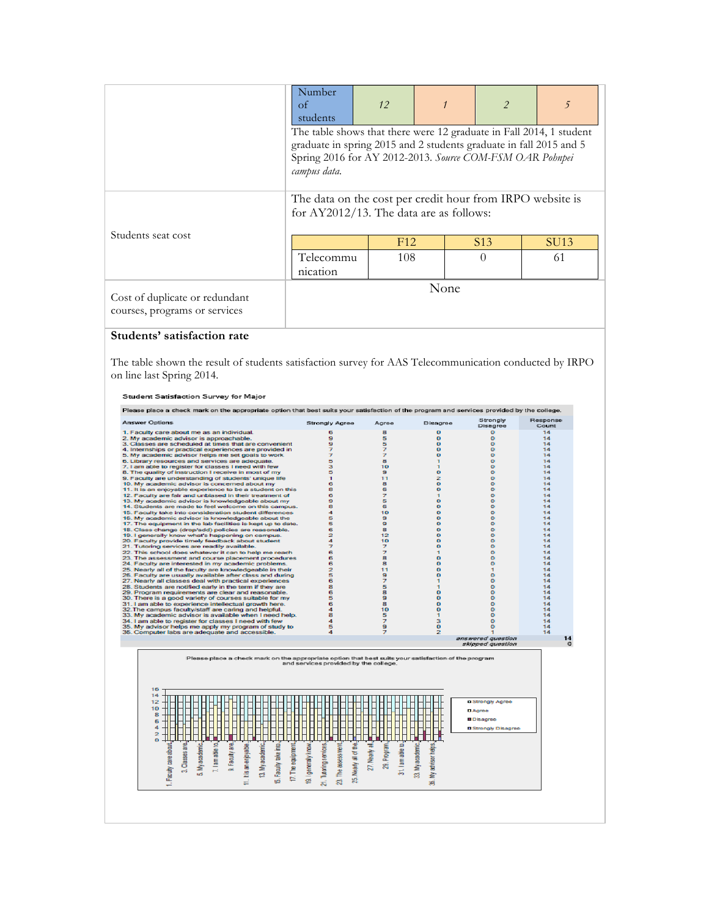|                                                                 | Number<br>οf<br>students                                                                                                                                                                                              | 12  |  |                 | 5    |
|-----------------------------------------------------------------|-----------------------------------------------------------------------------------------------------------------------------------------------------------------------------------------------------------------------|-----|--|-----------------|------|
|                                                                 | The table shows that there were 12 graduate in Fall 2014, 1 student<br>graduate in spring 2015 and 2 students graduate in fall 2015 and 5<br>Spring 2016 for AY 2012-2013. Source COM-FSM OAR Pohnpei<br>campus data. |     |  |                 |      |
|                                                                 | The data on the cost per credit hour from IRPO website is<br>for AY2012/13. The data are as follows:                                                                                                                  |     |  |                 |      |
| Students seat cost                                              |                                                                                                                                                                                                                       | F12 |  | S <sub>13</sub> | SU13 |
|                                                                 | Telecommu<br>nication                                                                                                                                                                                                 | 108 |  | $\Omega$        | 61   |
| Cost of duplicate or redundant<br>courses, programs or services | None                                                                                                                                                                                                                  |     |  |                 |      |

# **Students' satisfaction rate**

The table shown the result of students satisfaction survey for AAS Telecommunication conducted by IRPO on line last Spring 2014.

#### Student Satisfaction Survey for Major

| Answer Options                                                                                             | <b>Strongly Agree</b>                 | Agree                      | Disagree                            | Strongly<br>Disagree       | Response<br>Count |
|------------------------------------------------------------------------------------------------------------|---------------------------------------|----------------------------|-------------------------------------|----------------------------|-------------------|
| 1. Faculty care about me as an individual.                                                                 | 6                                     | s.                         | o                                   | ۰                          | 14                |
| 2. My academic advisor is approachable.                                                                    | 9                                     | 5                          | o                                   | ۰                          | 14                |
| 3. Classes are scheduled at times that are convenient                                                      | 9                                     | 5                          | ۰                                   | ۰                          | 14                |
| 4. Internships or practical experiences are provided in                                                    | 7                                     | 7                          | о                                   | $\Omega$                   | 14                |
| 5. My academic advisor helps me set goals to work                                                          | 7                                     | $\overline{z}$             | o                                   | $\circ$                    | 14                |
| 6. Library resources and services are adequate.                                                            | 5                                     | s.                         | $\blacksquare$                      | $\bullet$                  | 14                |
| 7. I am able to register for classes I need with few                                                       | з                                     | 10                         | $\blacksquare$                      | ۰                          | 14                |
| 8. The quality of instruction I receive in most of my                                                      | 5                                     | 9                          | o                                   | $\circ$                    | 14                |
| 9. Faculty are understanding of students' unique life                                                      | 1                                     | 11                         | 2                                   | $\circ$                    | 14                |
| 10. My academic advisor is concerned about my                                                              | 6                                     | 8                          | $\bullet$                           | $\circ$                    | 14                |
| 11. It is an enjoyable experience to be a student on this                                                  | 8                                     | 6                          | o                                   | ۰                          | 14                |
| 12. Faculty are fair and unbiased in their treatment of                                                    | 6                                     | $\overline{z}$             | $\blacksquare$                      | $\Omega$                   | 14                |
| 13. My academic advisor is knowledgeable about my                                                          | ø.                                    | 5                          | o                                   | $\circ$                    | 14                |
| 14. Students are made to feel welcome on this campus.                                                      | 8                                     | 6                          | o                                   | $\circ$                    | 14                |
| 15. Faculty take into consideration student differences                                                    | 4                                     | 10                         | $\bullet$                           | $\circ$                    | 14                |
| 16. My academic advisor is knowledgeable about the                                                         | 5                                     | 9                          | $\bullet$                           | $^{\circ}$                 | 14                |
| 17. The equipment in the lab facilities is kept up to date.                                                | 5                                     | 9                          | $\bullet$                           | ۰                          | 14                |
| 18. Class change (drop/add) policies are reasonable.                                                       | 6                                     | 8                          | $\bullet$                           | $\circ$                    | 14                |
| 19. I generally know what's happening on campus.                                                           | 2                                     | 12                         | o                                   | ۰                          | 14                |
| 20. Faculty provide timely feedback about student                                                          | 4                                     | 10                         | o                                   | ۰                          | 14                |
| 21. Tutoring services are readily available.                                                               | 7                                     | 7                          | ۰                                   | ۰                          | 14                |
| 22. This school does whatever it can to help me reach                                                      | 6                                     | $\overline{z}$             | $\mathbf{I}$                        | $\circ$                    | 14                |
| 23. The assessment and course placement procedures                                                         | 6<br>6                                | a<br>8                     | o                                   | $\bullet$<br>$\circ$       | 14<br>14          |
| 24. Faculty are interested in my academic problems.                                                        |                                       |                            | o                                   |                            |                   |
| 25. Nearly all of the faculty are knowledgeable in their                                                   | $\overline{z}$                        | 11                         | o                                   | 1                          | 14                |
| 26. Faculty are usually available after class and during                                                   | 5                                     | 9                          | o                                   | ۰                          | 14                |
| 27. Nearly all classes deal with practical experiences                                                     | 6                                     | $\overline{z}$             | $\mathbf{1}$                        | ۰                          | 14                |
| 28. Students are notified early in the term if they are                                                    | 8                                     | 5                          | $\blacksquare$                      | $\circ$                    | 14                |
| 29. Program requirements are clear and reasonable.                                                         | 6                                     | 8<br>9                     | ۰                                   | ۰                          | 14<br>14          |
| 30. There is a good variety of courses suitable for my                                                     | 5                                     |                            | o                                   | ۰                          |                   |
| 31. I am able to experience intellectual growth here.                                                      | 6                                     | 8                          | o                                   | $\circ$                    | 14                |
| 32. The campus faculty/staff are caring and helpful.                                                       | 4                                     | 10                         | $\bullet$                           | $\circ$                    | 14                |
| 33. My academic advisor is available when I need help.                                                     | 8<br>4                                | 5<br>$\overline{z}$        | $\mathbf{I}$<br>з                   | ۰<br>$\bullet$             | 14<br>14          |
| 34. I am able to register for classes I need with few                                                      | 5                                     | 9                          | o                                   | ۰                          | 14                |
| 35. My advisor helps me apply my program of study to<br>36. Computer labs are adequate and accessible.     | a.                                    | $\overline{z}$             | $\overline{2}$                      | ÷                          | 14                |
|                                                                                                            |                                       |                            |                                     | answered question          | 14                |
|                                                                                                            |                                       |                            |                                     |                            |                   |
|                                                                                                            |                                       |                            |                                     | skipped question           |                   |
| Please place a check mark on the appropriate option that best suits your satisfaction of the program<br>16 | and services provided by the college. |                            |                                     |                            |                   |
| 14                                                                                                         |                                       |                            |                                     |                            |                   |
| 12                                                                                                         |                                       |                            |                                     | <b>¤ Strongly Agree</b>    |                   |
| 10                                                                                                         |                                       |                            |                                     |                            |                   |
| 8                                                                                                          |                                       |                            |                                     | <b>D</b> Agree             |                   |
|                                                                                                            |                                       |                            |                                     | <b>Disagree</b>            |                   |
| 6                                                                                                          |                                       |                            |                                     |                            |                   |
| 4                                                                                                          |                                       |                            |                                     | <b>B</b> Strongly Disagree |                   |
| $\overline{2}$                                                                                             |                                       |                            |                                     |                            |                   |
|                                                                                                            |                                       |                            |                                     |                            |                   |
| ₫                                                                                                          | g                                     | s<br>ಕ                     |                                     |                            |                   |
|                                                                                                            | ৳                                     |                            |                                     |                            |                   |
|                                                                                                            |                                       |                            |                                     |                            |                   |
| Classes are<br>Faculy are.                                                                                 |                                       |                            |                                     |                            | $\circ$           |
| My academic.<br>lamable t<br>ත්<br>õ                                                                       |                                       | 29. Program.<br>27. Nearly |                                     |                            |                   |
| Faculty take into.<br>is an enjoyable.<br>13. My academic<br>ur5<br><b>and</b>                             | The assessment<br>Nearly all          | 31. lamable                | 33. My academic<br>My advisor helps |                            |                   |
| Faculty care about<br>17. The equipment<br>ωi<br>÷                                                         | 9. I generally know.<br>短<br>S.       |                            | 將                                   |                            |                   |
| ≓                                                                                                          | 21. Tutoring services                 |                            |                                     |                            |                   |
|                                                                                                            |                                       |                            |                                     |                            |                   |
|                                                                                                            |                                       |                            |                                     |                            |                   |
|                                                                                                            |                                       |                            |                                     |                            |                   |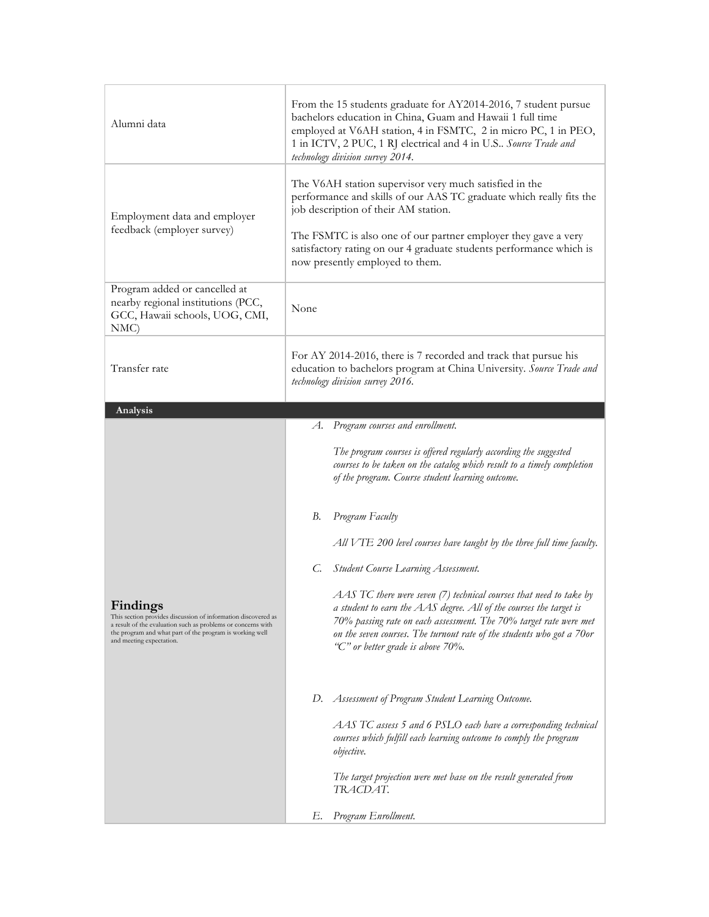| Alumni data                                                                                                                                                                                                                                     | From the 15 students graduate for AY2014-2016, 7 student pursue<br>bachelors education in China, Guam and Hawaii 1 full time<br>employed at V6AH station, 4 in FSMTC, 2 in micro PC, 1 in PEO,<br>1 in ICTV, 2 PUC, 1 RJ electrical and 4 in U.S Source Trade and<br>technology division survey 2014.                                             |  |  |  |  |  |
|-------------------------------------------------------------------------------------------------------------------------------------------------------------------------------------------------------------------------------------------------|---------------------------------------------------------------------------------------------------------------------------------------------------------------------------------------------------------------------------------------------------------------------------------------------------------------------------------------------------|--|--|--|--|--|
| Employment data and employer<br>feedback (employer survey)                                                                                                                                                                                      | The V6AH station supervisor very much satisfied in the<br>performance and skills of our AAS TC graduate which really fits the<br>job description of their AM station.<br>The FSMTC is also one of our partner employer they gave a very<br>satisfactory rating on our 4 graduate students performance which is<br>now presently employed to them. |  |  |  |  |  |
| Program added or cancelled at<br>nearby regional institutions (PCC,<br>GCC, Hawaii schools, UOG, CMI,<br>NMC)                                                                                                                                   | None                                                                                                                                                                                                                                                                                                                                              |  |  |  |  |  |
| Transfer rate                                                                                                                                                                                                                                   | For AY 2014-2016, there is 7 recorded and track that pursue his<br>education to bachelors program at China University. Source Trade and<br>technology division survey 2016.                                                                                                                                                                       |  |  |  |  |  |
| Analysis                                                                                                                                                                                                                                        |                                                                                                                                                                                                                                                                                                                                                   |  |  |  |  |  |
|                                                                                                                                                                                                                                                 | A. Program courses and enrollment.                                                                                                                                                                                                                                                                                                                |  |  |  |  |  |
|                                                                                                                                                                                                                                                 | The program courses is offered regularly according the suggested<br>courses to be taken on the catalog which result to a timely completion<br>of the program. Course student learning outcome.                                                                                                                                                    |  |  |  |  |  |
|                                                                                                                                                                                                                                                 | В.<br>Program Faculty                                                                                                                                                                                                                                                                                                                             |  |  |  |  |  |
|                                                                                                                                                                                                                                                 | $All VTE 200$ level courses have taught by the three full time faculty.                                                                                                                                                                                                                                                                           |  |  |  |  |  |
|                                                                                                                                                                                                                                                 | Student Course Learning Assessment.<br>C.                                                                                                                                                                                                                                                                                                         |  |  |  |  |  |
| $\Gamma$ :<br>Findings<br>This section provides discussion of information discovered as<br>a result of the evaluation such as problems or concerns with<br>the program and what part of the program is working well<br>and meeting expectation. | AAS TC there were seven (7) technical courses that need to take by<br>a student to earn the AAS degree. All of the courses the target is<br>70% passing rate on each assessment. The 70% target rate were met<br>on the seven courses. The turnout rate of the students who got a 70or<br>"C" or better grade is above 70%.                       |  |  |  |  |  |
|                                                                                                                                                                                                                                                 | Assessment of Program Student Learning Outcome.<br>D.                                                                                                                                                                                                                                                                                             |  |  |  |  |  |
|                                                                                                                                                                                                                                                 | AAS TC assess 5 and 6 PSLO each have a corresponding technical<br>courses which fulfill each learning outcome to comply the program<br><i>objective.</i>                                                                                                                                                                                          |  |  |  |  |  |
|                                                                                                                                                                                                                                                 | The target projection were met base on the result generated from<br>TRACDAT.                                                                                                                                                                                                                                                                      |  |  |  |  |  |
|                                                                                                                                                                                                                                                 | Program Enrollment.<br>Е.                                                                                                                                                                                                                                                                                                                         |  |  |  |  |  |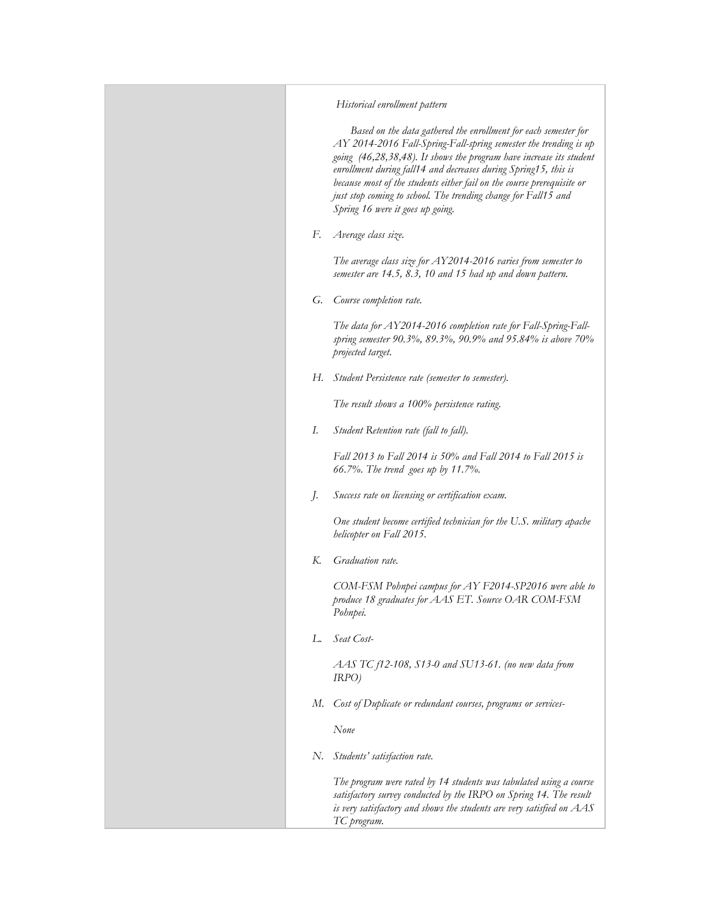### *Historical enrollment pattern*

 *Based on the data gathered the enrollment for each semester for AY 2014-2016 Fall-Spring-Fall-spring semester the trending is up going (46,28,38,48). It shows the program have increase its student enrollment during fall14 and decreases during Spring15, this is because most of the students either fail on the course prerequisite or just stop coming to school. The trending change for Fall15 and Spring 16 were it goes up going.*

*F. Average class size.*

*The average class size for AY2014-2016 varies from semester to semester are 14.5, 8.3, 10 and 15 had up and down pattern.*

*G. Course completion rate.*

*The data for AY2014-2016 completion rate for Fall-Spring-Fallspring semester 90.3%, 89.3%, 90.9% and 95.84% is above 70% projected target.*

*H. Student Persistence rate (semester to semester).*

*The result shows a 100% persistence rating.*

*I. Student Retention rate (fall to fall).*

*Fall 2013 to Fall 2014 is 50% and Fall 2014 to Fall 2015 is 66.7%. The trend goes up by 11.7%.*

*J. Success rate on licensing or certification exam.*

*One student become certified technician for the U.S. military apache helicopter on Fall 2015.*

*K. Graduation rate.*

*COM-FSM Pohnpei campus for AY F2014-SP2016 were able to produce 18 graduates for AAS ET. Source OAR COM-FSM Pohnpei.*

*L. Seat Cost-*

*AAS TC f12-108, S13-0 and SU13-61. (no new data from IRPO)*

*M. Cost of Duplicate or redundant courses, programs or services-*

*None*

*N. Students' satisfaction rate.*

*The program were rated by 14 students was tabulated using a course satisfactory survey conducted by the IRPO on Spring 14. The result is very satisfactory and shows the students are very satisfied on AAS TC program.*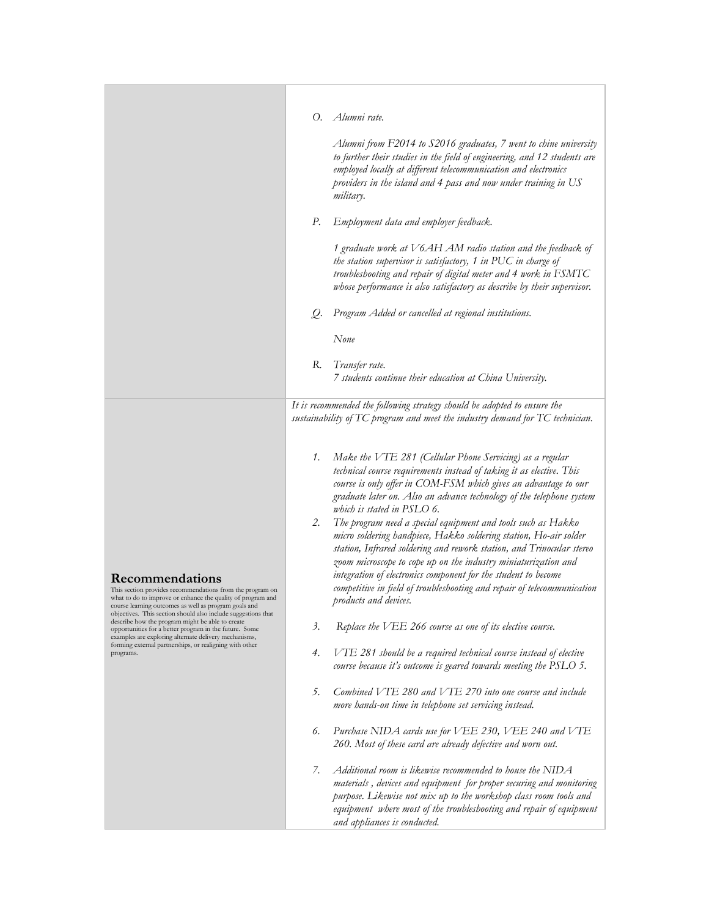|                                                                                                                                                                                                                                                                       | Alumni rate.<br>О.                                                                                                                                                                                                                                                                                                                                                                                                                                                                                                                                                                                                                                                                                                                                                                                                                                                                                                                         |
|-----------------------------------------------------------------------------------------------------------------------------------------------------------------------------------------------------------------------------------------------------------------------|--------------------------------------------------------------------------------------------------------------------------------------------------------------------------------------------------------------------------------------------------------------------------------------------------------------------------------------------------------------------------------------------------------------------------------------------------------------------------------------------------------------------------------------------------------------------------------------------------------------------------------------------------------------------------------------------------------------------------------------------------------------------------------------------------------------------------------------------------------------------------------------------------------------------------------------------|
|                                                                                                                                                                                                                                                                       | Alumni from F2014 to S2016 graduates, 7 went to chine university<br>to further their studies in the field of engineering, and 12 students are<br>employed locally at different telecommunication and electronics<br>providers in the island and 4 pass and now under training in US<br>military.                                                                                                                                                                                                                                                                                                                                                                                                                                                                                                                                                                                                                                           |
|                                                                                                                                                                                                                                                                       | Р.<br>Employment data and employer feedback.                                                                                                                                                                                                                                                                                                                                                                                                                                                                                                                                                                                                                                                                                                                                                                                                                                                                                               |
|                                                                                                                                                                                                                                                                       | 1 graduate work at V6AH AM radio station and the feedback of<br>the station supervisor is satisfactory, 1 in PUC in charge of<br>troubleshooting and repair of digital meter and 4 work in FSMTC<br>whose performance is also satisfactory as describe by their supervisor.                                                                                                                                                                                                                                                                                                                                                                                                                                                                                                                                                                                                                                                                |
|                                                                                                                                                                                                                                                                       | Program Added or cancelled at regional institutions.<br>Q.                                                                                                                                                                                                                                                                                                                                                                                                                                                                                                                                                                                                                                                                                                                                                                                                                                                                                 |
|                                                                                                                                                                                                                                                                       | None                                                                                                                                                                                                                                                                                                                                                                                                                                                                                                                                                                                                                                                                                                                                                                                                                                                                                                                                       |
|                                                                                                                                                                                                                                                                       | R.<br>Transfer rate.<br>7 students continue their education at China University.                                                                                                                                                                                                                                                                                                                                                                                                                                                                                                                                                                                                                                                                                                                                                                                                                                                           |
|                                                                                                                                                                                                                                                                       |                                                                                                                                                                                                                                                                                                                                                                                                                                                                                                                                                                                                                                                                                                                                                                                                                                                                                                                                            |
| Recommendations<br>This section provides recommendations from the program on<br>what to do to improve or enhance the quality of program and<br>course learning outcomes as well as program goals and<br>objectives. This section should also include suggestions that | It is recommended the following strategy should be adopted to ensure the<br>sustainability of TC program and meet the industry demand for TC technician.<br>Make the VTE 281 (Cellular Phone Servicing) as a regular<br>1.<br>technical course requirements instead of taking it as elective. This<br>course is only offer in COM-FSM which gives an advantage to our<br>graduate later on. Also an advance technology of the telephone system<br>which is stated in $PSLO$ 6.<br>The program need a special equipment and tools such as Hakko<br>2.<br>micro soldering handpiece, Hakko soldering station, Ho-air solder<br>station, Infrared soldering and rework station, and Trinocular stereo<br>zoom microscope to cope up on the industry miniaturization and<br>integration of electronics component for the student to become<br>competitive in field of troubleshooting and repair of telecommunication<br>products and devices. |
| describe how the program might be able to create<br>opportunities for a better program in the future. Some                                                                                                                                                            | $\beta$ .<br>Replace the VEE 266 course as one of its elective course.                                                                                                                                                                                                                                                                                                                                                                                                                                                                                                                                                                                                                                                                                                                                                                                                                                                                     |
| examples are exploring alternate delivery mechanisms,<br>forming external partnerships, or realigning with other<br>programs.                                                                                                                                         | VTE 281 should be a required technical course instead of elective<br>4.<br>course because it's outcome is geared towards meeting the PSLO 5.                                                                                                                                                                                                                                                                                                                                                                                                                                                                                                                                                                                                                                                                                                                                                                                               |
|                                                                                                                                                                                                                                                                       | 5.<br>Combined $VTE$ 280 and $VTE$ 270 into one course and include<br>more hands-on time in telephone set servicing instead.                                                                                                                                                                                                                                                                                                                                                                                                                                                                                                                                                                                                                                                                                                                                                                                                               |
|                                                                                                                                                                                                                                                                       | Purchase NIDA cards use for VEE 230, VEE 240 and VTE<br>6.<br>260. Most of these card are already defective and worn out.                                                                                                                                                                                                                                                                                                                                                                                                                                                                                                                                                                                                                                                                                                                                                                                                                  |
|                                                                                                                                                                                                                                                                       | Additional room is likewise recommended to house the NIDA<br>7.<br>materials, devices and equipment for proper securing and monitoring<br>purpose. Likewise not mix up to the workshop class room tools and<br>equipment where most of the troubleshooting and repair of equipment<br>and appliances is conducted.                                                                                                                                                                                                                                                                                                                                                                                                                                                                                                                                                                                                                         |